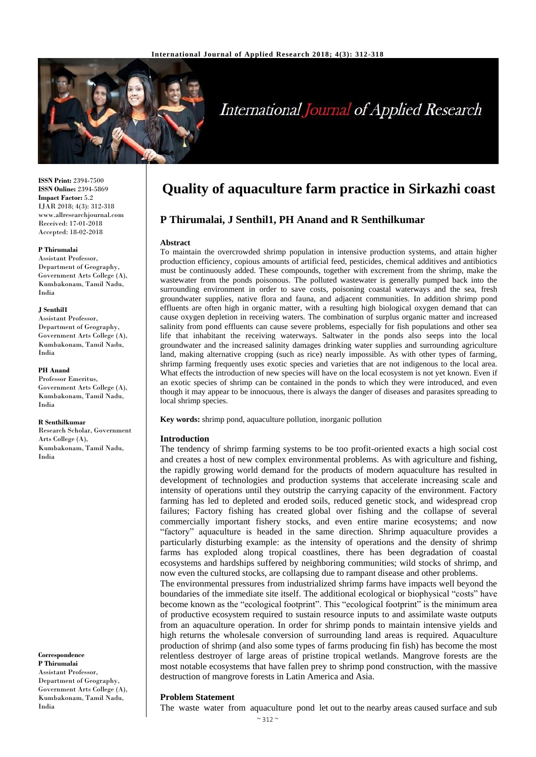

# **International Journal of Applied Research**

**ISSN Print:** 2394-7500 **ISSN Online:** 2394-5869 **Impact Factor:** 5.2 IJAR 2018; 4(3): 312-318 www.allresearchjournal.com Received: 17-01-2018 Accepted: 18-02-2018

#### **P Thirumalai**

Assistant Professor, Department of Geography, Government Arts College (A), Kumbakonam, Tamil Nadu, India

#### **J Senthil1**

Assistant Professor, Department of Geography, Government Arts College (A), Kumbakonam, Tamil Nadu, India

#### **PH Anand**

Professor Emeritus, Government Arts College (A), Kumbakonam, Tamil Nadu, India

#### **R Senthilkumar**

Research Scholar, Government Arts College (A), Kumbakonam, Tamil Nadu, India

**Correspondence P Thirumalai**  Assistant Professor, Department of Geography, Government Arts College (A), Kumbakonam, Tamil Nadu, India

# **Quality of aquaculture farm practice in Sirkazhi coast**

# **P Thirumalai, J Senthil1, PH Anand and R Senthilkumar**

#### **Abstract**

To maintain the overcrowded shrimp population in intensive production systems, and attain higher production efficiency, copious amounts of artificial feed, pesticides, chemical additives and antibiotics must be continuously added. These compounds, together with excrement from the shrimp, make the wastewater from the ponds poisonous. The polluted wastewater is generally pumped back into the surrounding environment in order to save costs, poisoning coastal waterways and the sea, fresh groundwater supplies, native flora and fauna, and adjacent communities. In addition shrimp pond effluents are often high in organic matter, with a resulting high biological oxygen demand that can cause oxygen depletion in receiving waters. The combination of surplus organic matter and increased salinity from pond effluents can cause severe problems, especially for fish populations and other sea life that inhabitant the receiving waterways. Saltwater in the ponds also seeps into the local groundwater and the increased salinity damages drinking water supplies and surrounding agriculture land, making alternative cropping (such as rice) nearly impossible. As with other types of farming, shrimp farming frequently uses exotic species and varieties that are not indigenous to the local area. What effects the introduction of new species will have on the local ecosystem is not yet known. Even if an exotic species of shrimp can be contained in the ponds to which they were introduced, and even though it may appear to be innocuous, there is always the danger of diseases and parasites spreading to local shrimp species.

**Key words:** shrimp pond, aquaculture pollution, inorganic pollution

#### **Introduction**

The tendency of shrimp farming systems to be too profit-oriented exacts a high social cost and creates a host of new complex environmental problems. As with agriculture and fishing, the rapidly growing world demand for the products of modern aquaculture has resulted in development of technologies and production systems that accelerate increasing scale and intensity of operations until they outstrip the carrying capacity of the environment. Factory farming has led to depleted and eroded soils, reduced genetic stock, and widespread crop failures; Factory fishing has created global over fishing and the collapse of several commercially important fishery stocks, and even entire marine ecosystems; and now "factory" aquaculture is headed in the same direction. Shrimp aquaculture provides a particularly disturbing example: as the intensity of operations and the density of shrimp farms has exploded along tropical coastlines, there has been degradation of coastal ecosystems and hardships suffered by neighboring communities; wild stocks of shrimp, and now even the cultured stocks, are collapsing due to rampant disease and other problems. The environmental pressures from industrialized shrimp farms have impacts well beyond the boundaries of the immediate site itself. The additional ecological or biophysical "costs" have become known as the "ecological footprint". This "ecological footprint" is the minimum area of productive ecosystem required to sustain resource inputs to and assimilate waste outputs from an aquaculture operation. In order for shrimp ponds to maintain intensive yields and high returns the wholesale conversion of surrounding land areas is required. Aquaculture production of shrimp (and also some types of farms producing fin fish) has become the most relentless destroyer of large areas of pristine tropical wetlands. Mangrove forests are the most notable ecosystems that have fallen prey to shrimp pond construction, with the massive destruction of mangrove forests in Latin America and Asia.

#### **Problem Statement**

The waste water from aquaculture pond let out to the nearby areas caused surface and sub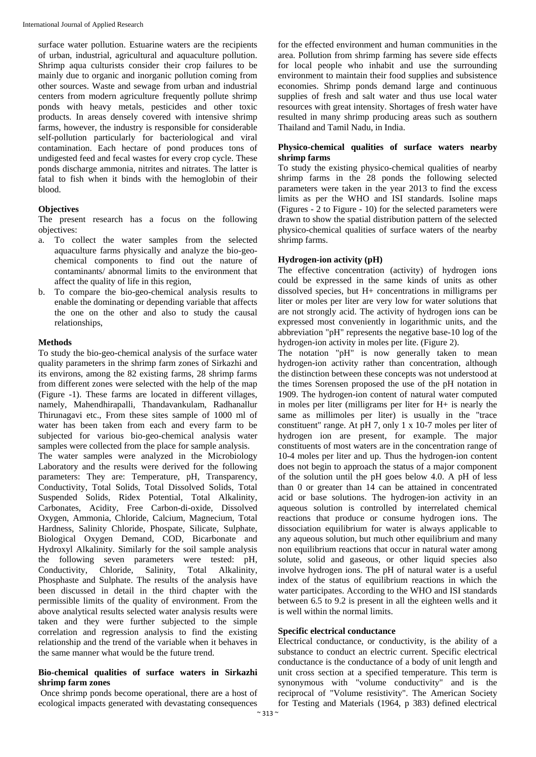surface water pollution. Estuarine waters are the recipients of urban, industrial, agricultural and aquaculture pollution. Shrimp aqua culturists consider their crop failures to be mainly due to organic and inorganic pollution coming from other sources. Waste and sewage from urban and industrial centers from modern agriculture frequently pollute shrimp ponds with heavy metals, pesticides and other toxic products. In areas densely covered with intensive shrimp farms, however, the industry is responsible for considerable self-pollution particularly for bacteriological and viral contamination. Each hectare of pond produces tons of undigested feed and fecal wastes for every crop cycle. These ponds discharge ammonia, nitrites and nitrates. The latter is fatal to fish when it binds with the hemoglobin of their blood.

# **Objectives**

The present research has a focus on the following objectives:

- a. To collect the water samples from the selected aquaculture farms physically and analyze the bio-geochemical components to find out the nature of contaminants/ abnormal limits to the environment that affect the quality of life in this region,
- b. To compare the bio-geo-chemical analysis results to enable the dominating or depending variable that affects the one on the other and also to study the causal relationships,

#### **Methods**

To study the bio-geo-chemical analysis of the surface water quality parameters in the shrimp farm zones of Sirkazhi and its environs, among the 82 existing farms, 28 shrimp farms from different zones were selected with the help of the map (Figure -1). These farms are located in different villages, namely, Mahendhirapalli, Thandavankulam, Radhanallur Thirunagavi etc., From these sites sample of 1000 ml of water has been taken from each and every farm to be subjected for various bio-geo-chemical analysis water samples were collected from the place for sample analysis.

The water samples were analyzed in the Microbiology Laboratory and the results were derived for the following parameters: They are: Temperature, pH, Transparency, Conductivity, Total Solids, Total Dissolved Solids, Total Suspended Solids, Ridex Potential, Total Alkalinity, Carbonates, Acidity, Free Carbon-di-oxide, Dissolved Oxygen, Ammonia, Chloride, Calcium, Magnecium, Total Hardness, Salinity Chloride, Phospate, Silicate, Sulphate, Biological Oxygen Demand, COD, Bicarbonate and Hydroxyl Alkalinity. Similarly for the soil sample analysis the following seven parameters were tested: pH, Conductivity, Chloride, Salinity, Total Alkalinity, Phosphaste and Sulphate. The results of the analysis have been discussed in detail in the third chapter with the permissible limits of the quality of environment. From the above analytical results selected water analysis results were taken and they were further subjected to the simple correlation and regression analysis to find the existing relationship and the trend of the variable when it behaves in the same manner what would be the future trend.

#### **Bio-chemical qualities of surface waters in Sirkazhi shrimp farm zones**

Once shrimp ponds become operational, there are a host of ecological impacts generated with devastating consequences

for the effected environment and human communities in the area. Pollution from shrimp farming has severe side effects for local people who inhabit and use the surrounding environment to maintain their food supplies and subsistence economies. Shrimp ponds demand large and continuous supplies of fresh and salt water and thus use local water resources with great intensity. Shortages of fresh water have resulted in many shrimp producing areas such as southern Thailand and Tamil Nadu, in India.

# **Physico-chemical qualities of surface waters nearby shrimp farms**

To study the existing physico-chemical qualities of nearby shrimp farms in the 28 ponds the following selected parameters were taken in the year 2013 to find the excess limits as per the WHO and ISI standards. Isoline maps (Figures - 2 to Figure - 10) for the selected parameters were drawn to show the spatial distribution pattern of the selected physico-chemical qualities of surface waters of the nearby shrimp farms.

# **Hydrogen-ion activity (pH)**

The effective concentration (activity) of hydrogen ions could be expressed in the same kinds of units as other dissolved species, but H+ concentrations in milligrams per liter or moles per liter are very low for water solutions that are not strongly acid. The activity of hydrogen ions can be expressed most conveniently in logarithmic units, and the abbreviation "pH" represents the negative base-10 log of the hydrogen-ion activity in moles per lite. (Figure 2).

The notation "pH" is now generally taken to mean hydrogen-ion activity rather than concentration, although the distinction between these concepts was not understood at the times Sorensen proposed the use of the pH notation in 1909. The hydrogen-ion content of natural water computed in moles per liter (milligrams per liter for H+ is nearly the same as millimoles per liter) is usually in the "trace constituent" range. At pH 7, only 1 x 10-7 moles per liter of hydrogen ion are present, for example. The major constituents of most waters are in the concentration range of 10-4 moles per liter and up. Thus the hydrogen-ion content does not begin to approach the status of a major component of the solution until the pH goes below 4.0. A pH of less than 0 or greater than 14 can be attained in concentrated acid or base solutions. The hydrogen-ion activity in an aqueous solution is controlled by interrelated chemical reactions that produce or consume hydrogen ions. The dissociation equilibrium for water is always applicable to any aqueous solution, but much other equilibrium and many non equilibrium reactions that occur in natural water among solute, solid and gaseous, or other liquid species also involve hydrogen ions. The pH of natural water is a useful index of the status of equilibrium reactions in which the water participates. According to the WHO and ISI standards between 6.5 to 9.2 is present in all the eighteen wells and it is well within the normal limits.

#### **Specific electrical conductance**

Electrical conductance, or conductivity, is the ability of a substance to conduct an electric current. Specific electrical conductance is the conductance of a body of unit length and unit cross section at a specified temperature. This term is synonymous with "volume conductivity" and is the reciprocal of "Volume resistivity". The American Society for Testing and Materials (1964, p 383) defined electrical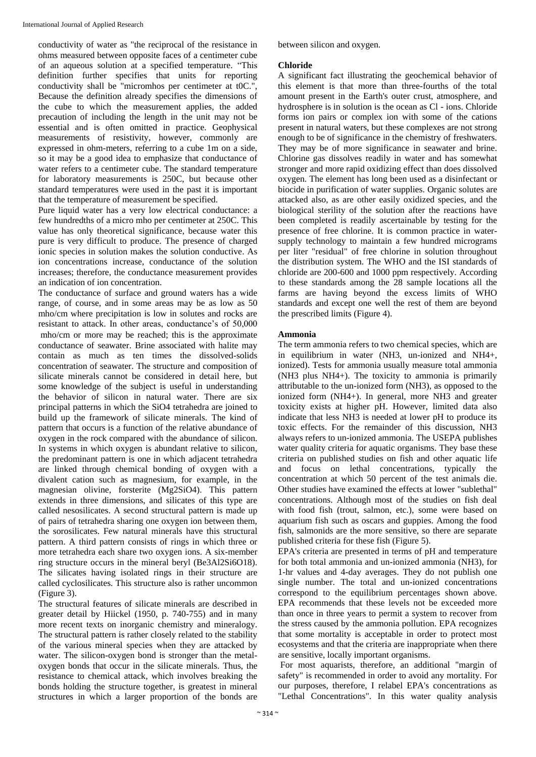conductivity of water as "the reciprocal of the resistance in ohms measured between opposite faces of a centimeter cube of an aqueous solution at a specified temperature. "This definition further specifies that units for reporting conductivity shall be "micromhos per centimeter at t0C.", Because the definition already specifies the dimensions of the cube to which the measurement applies, the added precaution of including the length in the unit may not be essential and is often omitted in practice. Geophysical measurements of resistivity, however, commonly are expressed in ohm-meters, referring to a cube 1m on a side, so it may be a good idea to emphasize that conductance of water refers to a centimeter cube. The standard temperature for laboratory measurements is 250C, but because other standard temperatures were used in the past it is important that the temperature of measurement be specified.

Pure liquid water has a very low electrical conductance: a few hundredths of a micro mho per centimeter at 250C. This value has only theoretical significance, because water this pure is very difficult to produce. The presence of charged ionic species in solution makes the solution conductive. As ion concentrations increase, conductance of the solution increases; therefore, the conductance measurement provides an indication of ion concentration.

The conductance of surface and ground waters has a wide range, of course, and in some areas may be as low as 50 mho/cm where precipitation is low in solutes and rocks are resistant to attack. In other areas, conductance's of 50,000 mho/cm or more may be reached; this is the approximate conductance of seawater. Brine associated with halite may contain as much as ten times the dissolved-solids concentration of seawater. The structure and composition of silicate minerals cannot be considered in detail here, but some knowledge of the subject is useful in understanding the behavior of silicon in natural water. There are six principal patterns in which the SiO4 tetrahedra are joined to build up the framework of silicate minerals. The kind of pattern that occurs is a function of the relative abundance of oxygen in the rock compared with the abundance of silicon. In systems in which oxygen is abundant relative to silicon, the predominant pattern is one in which adjacent tetrahedra are linked through chemical bonding of oxygen with a divalent cation such as magnesium, for example, in the magnesian olivine, forsterite (Mg2SiO4). This pattern extends in three dimensions, and silicates of this type are called nesosilicates. A second structural pattern is made up of pairs of tetrahedra sharing one oxygen ion between them, the sorosilicates. Few natural minerals have this structural pattern. A third pattern consists of rings in which three or more tetrahedra each share two oxygen ions. A six-member ring structure occurs in the mineral beryl (Be3Al2Si6O18). The silicates having isolated rings in their structure are called cyclosilicates. This structure also is rather uncommon (Figure 3).

The structural features of silicate minerals are described in greater detail by Hiickel (1950, p. 740-755) and in many more recent texts on inorganic chemistry and mineralogy. The structural pattern is rather closely related to the stability of the various mineral species when they are attacked by water. The silicon-oxygen bond is stronger than the metaloxygen bonds that occur in the silicate minerals. Thus, the resistance to chemical attack, which involves breaking the bonds holding the structure together, is greatest in mineral structures in which a larger proportion of the bonds are

between silicon and oxygen.

#### **Chloride**

A significant fact illustrating the geochemical behavior of this element is that more than three-fourths of the total amount present in the Earth's outer crust, atmosphere, and hydrosphere is in solution is the ocean as Cl - ions. Chloride forms ion pairs or complex ion with some of the cations present in natural waters, but these complexes are not strong enough to be of significance in the chemistry of freshwaters. They may be of more significance in seawater and brine. Chlorine gas dissolves readily in water and has somewhat stronger and more rapid oxidizing effect than does dissolved oxygen. The element has long been used as a disinfectant or biocide in purification of water supplies. Organic solutes are attacked also, as are other easily oxidized species, and the biological sterility of the solution after the reactions have been completed is readily ascertainable by testing for the presence of free chlorine. It is common practice in watersupply technology to maintain a few hundred micrograms per liter "residual" of free chlorine in solution throughout the distribution system. The WHO and the ISI standards of chloride are 200-600 and 1000 ppm respectively. According to these standards among the 28 sample locations all the farms are having beyond the excess limits of WHO standards and except one well the rest of them are beyond the prescribed limits (Figure 4).

#### **Ammonia**

The term ammonia refers to two chemical species, which are in equilibrium in water (NH3, un-ionized and NH4+, ionized). Tests for ammonia usually measure total ammonia (NH3 plus NH4+). The toxicity to ammonia is primarily attributable to the un-ionized form (NH3), as opposed to the ionized form (NH4+). In general, more NH3 and greater toxicity exists at higher pH. However, limited data also indicate that less NH3 is needed at lower pH to produce its toxic effects. For the remainder of this discussion, NH3 always refers to un-ionized ammonia. The USEPA publishes water quality criteria for aquatic organisms. They base these criteria on published studies on fish and other aquatic life and focus on lethal concentrations, typically the concentration at which 50 percent of the test animals die. Other studies have examined the effects at lower "sublethal" concentrations. Although most of the studies on fish deal with food fish (trout, salmon, etc.), some were based on aquarium fish such as oscars and guppies. Among the food fish, salmonids are the more sensitive, so there are separate published criteria for these fish (Figure 5).

EPA's criteria are presented in terms of pH and temperature for both total ammonia and un-ionized ammonia (NH3), for 1-hr values and 4-day averages. They do not publish one single number. The total and un-ionized concentrations correspond to the equilibrium percentages shown above. EPA recommends that these levels not be exceeded more than once in three years to permit a system to recover from the stress caused by the ammonia pollution. EPA recognizes that some mortality is acceptable in order to protect most ecosystems and that the criteria are inappropriate when there are sensitive, locally important organisms.

For most aquarists, therefore, an additional "margin of safety" is recommended in order to avoid any mortality. For our purposes, therefore, I relabel EPA's concentrations as "Lethal Concentrations". In this water quality analysis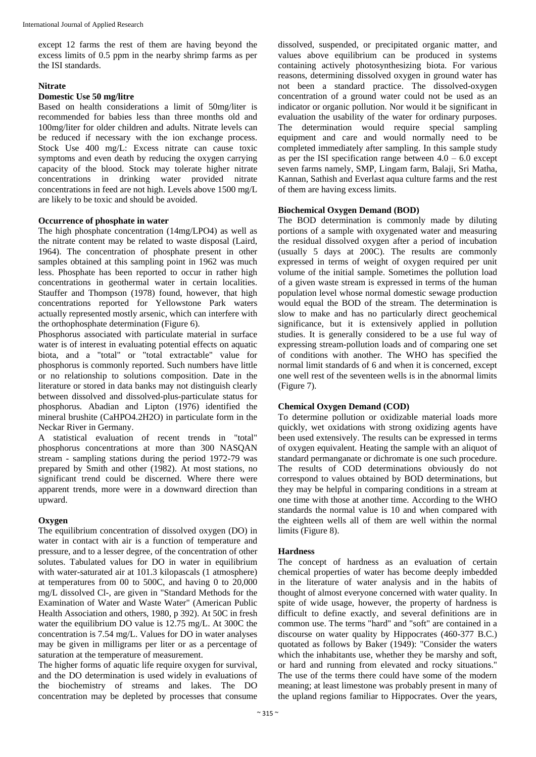except 12 farms the rest of them are having beyond the excess limits of 0.5 ppm in the nearby shrimp farms as per the ISI standards.

#### **Nitrate**

# **Domestic Use 50 mg/litre**

Based on health considerations a limit of 50mg/liter is recommended for babies less than three months old and 100mg/liter for older children and adults. Nitrate levels can be reduced if necessary with the ion exchange process. Stock Use 400 mg/L: Excess nitrate can cause toxic symptoms and even death by reducing the oxygen carrying capacity of the blood. Stock may tolerate higher nitrate concentrations in drinking water provided nitrate concentrations in feed are not high. Levels above 1500 mg/L are likely to be toxic and should be avoided.

#### **Occurrence of phosphate in water**

The high phosphate concentration (14mg/LPO4) as well as the nitrate content may be related to waste disposal (Laird, 1964). The concentration of phosphate present in other samples obtained at this sampling point in 1962 was much less. Phosphate has been reported to occur in rather high concentrations in geothermal water in certain localities. Stauffer and Thompson (1978) found, however, that high concentrations reported for Yellowstone Park waters actually represented mostly arsenic, which can interfere with the orthophosphate determination (Figure 6).

Phosphorus associated with particulate material in surface water is of interest in evaluating potential effects on aquatic biota, and a "total" or "total extractable" value for phosphorus is commonly reported. Such numbers have little or no relationship to solutions composition. Date in the literature or stored in data banks may not distinguish clearly between dissolved and dissolved-plus-particulate status for phosphorus. Abadian and Lipton (1976) identified the mineral brushite (CaHPO4.2H2O) in particulate form in the Neckar River in Germany.

A statistical evaluation of recent trends in "total" phosphorus concentrations at more than 300 NASQAN stream - sampling stations during the period 1972-79 was prepared by Smith and other (1982). At most stations, no significant trend could be discerned. Where there were apparent trends, more were in a downward direction than upward.

#### **Oxygen**

The equilibrium concentration of dissolved oxygen (DO) in water in contact with air is a function of temperature and pressure, and to a lesser degree, of the concentration of other solutes. Tabulated values for DO in water in equilibrium with water-saturated air at 101.3 kilopascals (1 atmosphere) at temperatures from 00 to 500C, and having 0 to 20,000 mg/L dissolved Cl-, are given in "Standard Methods for the Examination of Water and Waste Water" (American Public Health Association and others, 1980, p 392). At 50C in fresh water the equilibrium DO value is 12.75 mg/L. At 300C the concentration is 7.54 mg/L. Values for DO in water analyses may be given in milligrams per liter or as a percentage of saturation at the temperature of measurement.

The higher forms of aquatic life require oxygen for survival, and the DO determination is used widely in evaluations of the biochemistry of streams and lakes. The DO concentration may be depleted by processes that consume dissolved, suspended, or precipitated organic matter, and values above equilibrium can be produced in systems containing actively photosynthesizing biota. For various reasons, determining dissolved oxygen in ground water has not been a standard practice. The dissolved-oxygen concentration of a ground water could not be used as an indicator or organic pollution. Nor would it be significant in evaluation the usability of the water for ordinary purposes. The determination would require special sampling equipment and care and would normally need to be completed immediately after sampling. In this sample study as per the ISI specification range between  $4.0 - 6.0$  except seven farms namely, SMP, Lingam farm, Balaji, Sri Matha, Kannan, Sathish and Everlast aqua culture farms and the rest of them are having excess limits.

#### **Biochemical Oxygen Demand (BOD)**

The BOD determination is commonly made by diluting portions of a sample with oxygenated water and measuring the residual dissolved oxygen after a period of incubation (usually 5 days at 200C). The results are commonly expressed in terms of weight of oxygen required per unit volume of the initial sample. Sometimes the pollution load of a given waste stream is expressed in terms of the human population level whose normal domestic sewage production would equal the BOD of the stream. The determination is slow to make and has no particularly direct geochemical significance, but it is extensively applied in pollution studies. It is generally considered to be a use ful way of expressing stream-pollution loads and of comparing one set of conditions with another. The WHO has specified the normal limit standards of 6 and when it is concerned, except one well rest of the seventeen wells is in the abnormal limits (Figure 7).

#### **Chemical Oxygen Demand (COD)**

To determine pollution or oxidizable material loads more quickly, wet oxidations with strong oxidizing agents have been used extensively. The results can be expressed in terms of oxygen equivalent. Heating the sample with an aliquot of standard permanganate or dichromate is one such procedure. The results of COD determinations obviously do not correspond to values obtained by BOD determinations, but they may be helpful in comparing conditions in a stream at one time with those at another time. According to the WHO standards the normal value is 10 and when compared with the eighteen wells all of them are well within the normal limits (Figure 8).

#### **Hardness**

The concept of hardness as an evaluation of certain chemical properties of water has become deeply imbedded in the literature of water analysis and in the habits of thought of almost everyone concerned with water quality. In spite of wide usage, however, the property of hardness is difficult to define exactly, and several definitions are in common use. The terms "hard" and "soft" are contained in a discourse on water quality by Hippocrates (460-377 B.C.) quotated as follows by Baker (1949): "Consider the waters which the inhabitants use, whether they be marshy and soft, or hard and running from elevated and rocky situations." The use of the terms there could have some of the modern meaning; at least limestone was probably present in many of the upland regions familiar to Hippocrates. Over the years,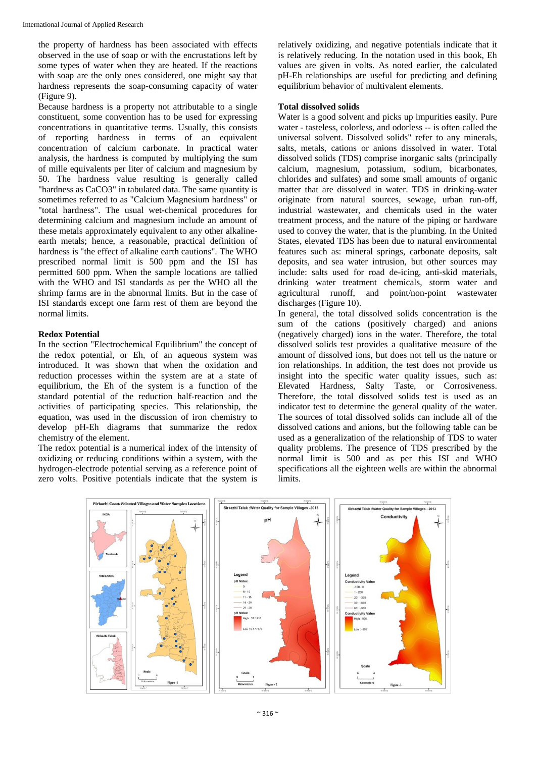the property of hardness has been associated with effects observed in the use of soap or with the encrustations left by some types of water when they are heated. If the reactions with soap are the only ones considered, one might say that hardness represents the soap-consuming capacity of water (Figure 9).

Because hardness is a property not attributable to a single constituent, some convention has to be used for expressing concentrations in quantitative terms. Usually, this consists of reporting hardness in terms of an equivalent concentration of calcium carbonate. In practical water analysis, the hardness is computed by multiplying the sum of mille equivalents per liter of calcium and magnesium by 50. The hardness value resulting is generally called "hardness as CaCO3" in tabulated data. The same quantity is sometimes referred to as "Calcium Magnesium hardness" or "total hardness". The usual wet-chemical procedures for determining calcium and magnesium include an amount of these metals approximately equivalent to any other alkalineearth metals; hence, a reasonable, practical definition of hardness is "the effect of alkaline earth cautions". The WHO prescribed normal limit is 500 ppm and the ISI has permitted 600 ppm. When the sample locations are tallied with the WHO and ISI standards as per the WHO all the shrimp farms are in the abnormal limits. But in the case of ISI standards except one farm rest of them are beyond the normal limits.

#### **Redox Potential**

In the section "Electrochemical Equilibrium" the concept of the redox potential, or Eh, of an aqueous system was introduced. It was shown that when the oxidation and reduction processes within the system are at a state of equilibrium, the Eh of the system is a function of the standard potential of the reduction half-reaction and the activities of participating species. This relationship, the equation, was used in the discussion of iron chemistry to develop pH-Eh diagrams that summarize the redox chemistry of the element.

The redox potential is a numerical index of the intensity of oxidizing or reducing conditions within a system, with the hydrogen-electrode potential serving as a reference point of zero volts. Positive potentials indicate that the system is relatively oxidizing, and negative potentials indicate that it is relatively reducing. In the notation used in this book, Eh values are given in volts. As noted earlier, the calculated pH-Eh relationships are useful for predicting and defining equilibrium behavior of multivalent elements.

#### **Total dissolved solids**

Water is a good solvent and picks up impurities easily. Pure water - tasteless, colorless, and odorless -- is often called the universal solvent. Dissolved solids" refer to any minerals, salts, metals, cations or anions dissolved in water. Total dissolved solids (TDS) comprise inorganic salts (principally calcium, magnesium, potassium, sodium, bicarbonates, chlorides and sulfates) and some small amounts of organic matter that are dissolved in water. TDS in drinking-water originate from natural sources, sewage, urban run-off, industrial wastewater, and chemicals used in the water treatment process, and the nature of the piping or hardware used to convey the water, that is the plumbing. In the United States, elevated TDS has been due to natural environmental features such as: mineral springs, carbonate deposits, salt deposits, and sea water intrusion, but other sources may include: salts used for road de-icing, anti-skid materials, drinking water treatment chemicals, storm water and agricultural runoff, and point/non-point wastewater discharges (Figure 10).

In general, the total dissolved solids concentration is the sum of the cations (positively charged) and anions (negatively charged) ions in the water. Therefore, the total dissolved solids test provides a qualitative measure of the amount of dissolved ions, but does not tell us the nature or ion relationships. In addition, the test does not provide us insight into the specific water quality issues, such as: Elevated Hardness, Salty Taste, or Corrosiveness. Therefore, the total dissolved solids test is used as an indicator test to determine the general quality of the water. The sources of total dissolved solids can include all of the dissolved cations and anions, but the following table can be used as a generalization of the relationship of TDS to water quality problems. The presence of TDS prescribed by the normal limit is 500 and as per this ISI and WHO specifications all the eighteen wells are within the abnormal limits.

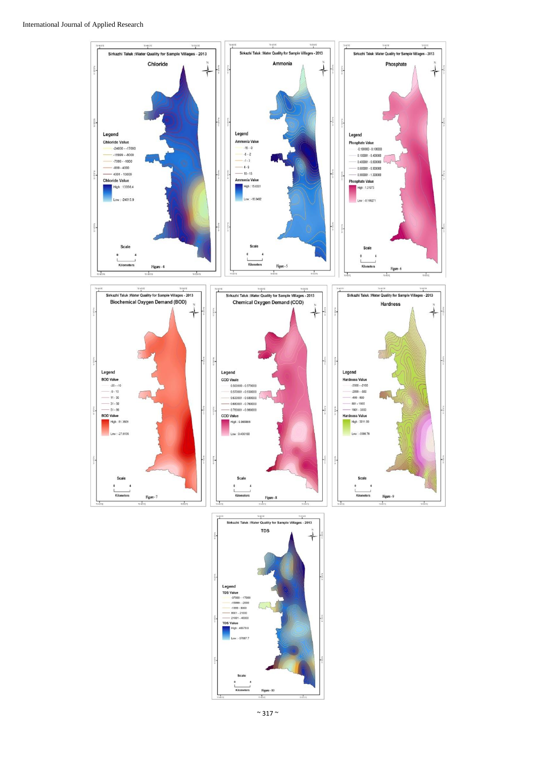